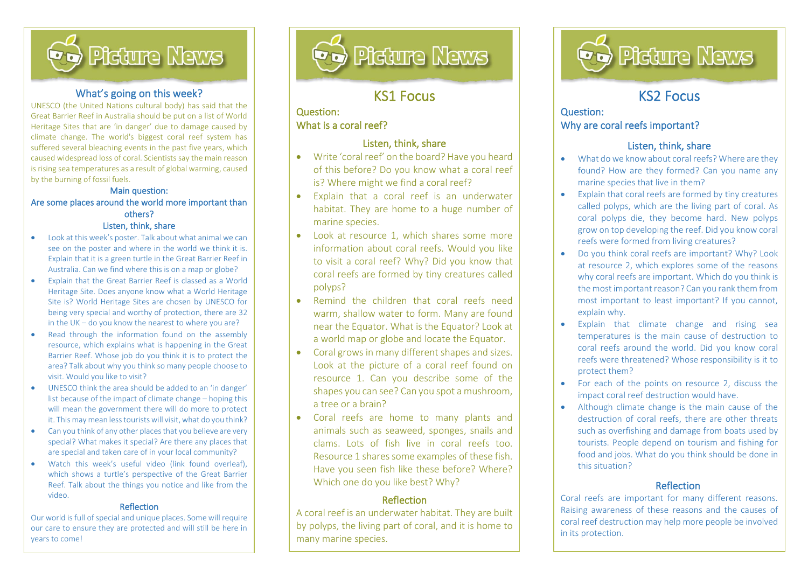

#### What's going on this week?

UNESCO (the United Nations cultural body) has said that the Great Barrier Reef in Australia should be put on a list of World Heritage Sites that are 'in danger' due to damage caused by climate change. The world's biggest coral reef system has suffered several bleaching events in the past five years, which caused widespread loss of coral. Scientists say the main reason is rising sea temperatures as a result of global warming, caused by the burning of fossil fuels.

#### Main question: Are some places around the world more important than others? Listen, think, share

- Look at this week's poster. Talk about what animal we can see on the poster and where in the world we think it is. Explain that it is a green turtle in the Great Barrier Reef in Australia. Can we find where this is on a map or globe?
- Explain that the Great Barrier Reef is classed as a World Heritage Site. Does anyone know what a World Heritage Site is? World Heritage Sites are chosen by UNESCO for being very special and worthy of protection, there are 32 in the UK – do you know the nearest to where you are?
- Read through the information found on the assembly resource, which explains what is happening in the Great Barrier Reef. Whose job do you think it is to protect the area? Talk about why you think so many people choose to visit. Would you like to visit?
- UNESCO think the area should be added to an 'in danger' list because of the impact of climate change – hoping this will mean the government there will do more to protect it. This may mean less tourists will visit, what do you think?
- Can you think of any other places that you believe are very special? What makes it special? Are there any places that are special and taken care of in your local community?
- Watch this week's useful video (link found overleaf), which shows a turtle's perspective of the Great Barrier Reef. Talk about the things you notice and like from the video.

#### Reflection

Our world is full of special and unique places. Some will require our care to ensure they are protected and will still be here in years to come!



## KS1 Focus

l

### Question: What is a coral reef?

İ,

#### Listen, think, share

- Write 'coral reef' on the board? Have you heard of this before? Do you know what a coral reef is? Where might we find a coral reef?
- Explain that a coral reef is an underwater habitat. They are home to a huge number of marine species.
- Look at resource 1, which shares some more information about coral reefs. Would you like to visit a coral reef? Why? Did you know that coral reefs are formed by tiny creatures called polyps?
- Remind the children that coral reefs need warm, shallow water to form. Many are found near the Equator. What is the Equator? Look at a world map or globe and locate the Equator.
- Coral grows in many different shapes and sizes. Look at the picture of a coral reef found on resource 1. Can you describe some of the shapes you can see? Can you spot a mushroom, a tree or a brain?
- Coral reefs are home to many plants and animals such as seaweed, sponges, snails and clams. Lots of fish live in coral reefs too. Resource 1 shares some examples of these fish. Have you seen fish like these before? Where? Which one do you like best? Why?

#### **Reflection**

A coral reef is an underwater habitat. They are built by polyps, the living part of coral, and it is home to many marine species.



## KS2 Focus

l

#### Question: Why are coral reefs important?

#### Listen, think, share

- What do we know about coral reefs? Where are they found? How are they formed? Can you name any marine species that live in them?
- Explain that coral reefs are formed by tiny creatures called polyps, which are the living part of coral. As coral polyps die, they become hard. New polyps grow on top developing the reef. Did you know coral reefs were formed from living creatures?
- Do you think coral reefs are important? Why? Look at resource 2, which explores some of the reasons why coral reefs are important. Which do you think is the most important reason? Can you rank them from most important to least important? If you cannot, explain why.
- Explain that climate change and rising sea temperatures is the main cause of destruction to coral reefs around the world. Did you know coral reefs were threatened? Whose responsibility is it to protect them?
- For each of the points on resource 2, discuss the impact coral reef destruction would have.
- Although climate change is the main cause of the destruction of coral reefs, there are other threats such as overfishing and damage from boats used by tourists. People depend on tourism and fishing for food and jobs. What do you think should be done in this situation?

### Reflection

Coral reefs are important for many different reasons. Raising awareness of these reasons and the causes of coral reef destruction may help more people be involved in its protection.